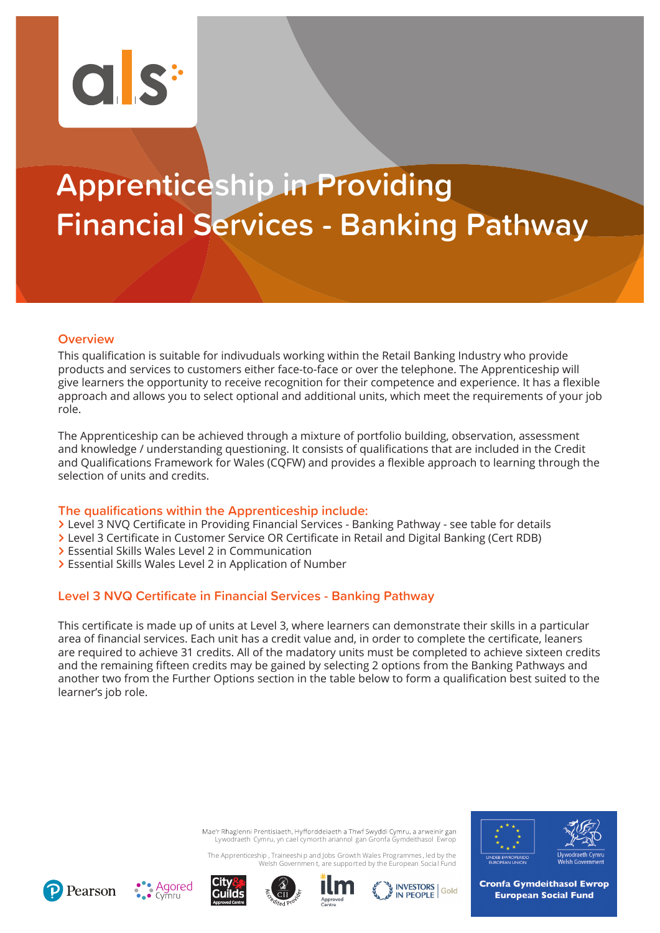# $Cl.S^H$

# **Apprenticeship in Providing Financial Services - Banking Pathway**

# **Overview**

This qualification is suitable for indivuduals working within the Retail Banking Industry who provide products and services to customers either face-to-face or over the telephone. The Apprenticeship will give learners the opportunity to receive recognition for their competence and experience. It has a flexible approach and allows you to select optional and additional units, which meet the requirements of your job  $r \circ \mathsf{I}$ 

The Apprenticeship can be achieved through a mixture of portfolio building, observation, assessment and knowledge / understanding questioning. It consists of qualifications that are included in the Credit and Qualifications Framework for Wales (CQFW) and provides a flexible approach to learning through the selection of units and credits.

# **The qualifications within the Apprenticeship include:**

- > Level 3 NVQ Certificate in Providing Financial Services Banking Pathway see table for details
- > Level 3 Certificate in Customer Service OR Certificate in Retail and Digital Banking (Cert RDB)
- **>** Essential Skills Wales Level 2 in Communication
- > Essential Skills Wales Level 2 in Application of Number

# **Level 3 NVQ Certificate in Financial Services - Banking Pathway**

This certificate is made up of units at Level 3, where learners can demonstrate their skills in a particular area of financial services. Each unit has a credit value and, in order to complete the certificate, leaners are required to achieve 31 credits. All of the madatory units must be completed to achieve sixteen credits and the remaining fifteen credits may be gained by selecting 2 options from the Banking Pathways and another two from the Further Options section in the table below to form a qualification best suited to the learner's job role.

> Mae'r Rhaglenni Prentisiaeth, Hyfforddeiaeth a Thwf Swyddi Cymru, a arweinir gan Lywodraeth Cymru, yn cael cymorth ariannol gan Gronfa Gymdeithasol Ewrop

The Apprenticeship , Traineeshi p and Jobs Growth Wales Programmes , led by the Welsh Governmen t, are supported by the European Social Fund













**Cronfa Gymdeithasol Ewrop European Social Fund**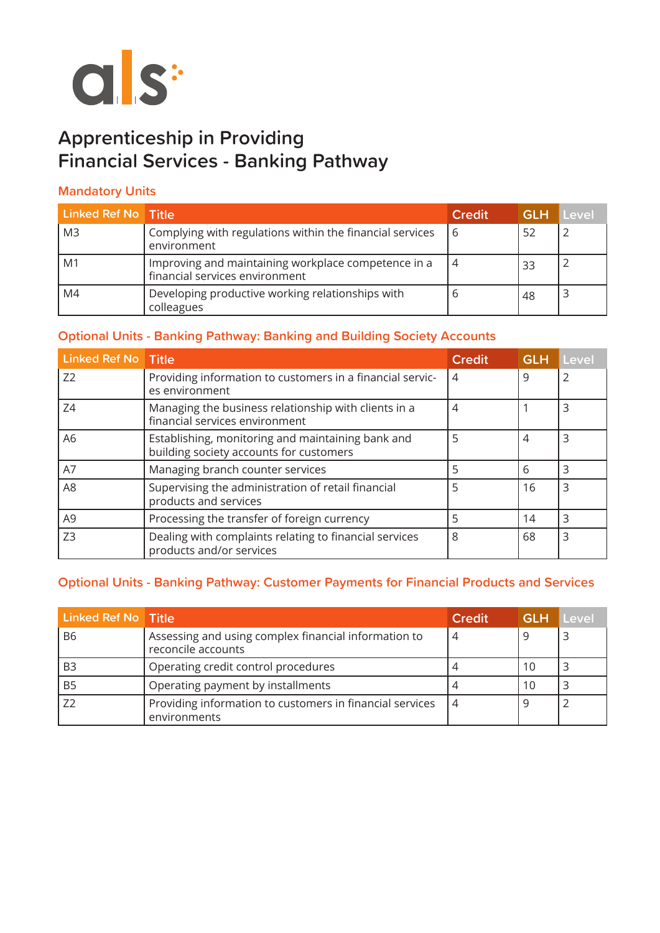

# **Apprenticeship in Providing Financial Services - Banking Pathway**

# **Mandatory Units**

| <b>Linked Ref No Title</b> |                                                                                       | <b>Credit</b> | <b>GLH</b> | Level |
|----------------------------|---------------------------------------------------------------------------------------|---------------|------------|-------|
| M <sub>3</sub>             | Complying with regulations within the financial services<br>environment               | 6             | 52         |       |
| M1                         | Improving and maintaining workplace competence in a<br>financial services environment | 4             | 33         |       |
| M4                         | Developing productive working relationships with<br>colleagues                        |               | 48         |       |

# **Optional Units - Banking Pathway: Banking and Building Society Accounts**

| <b>Linked Ref No</b> Title |                                                                                              | <b>Credit</b>  | <b>GLH</b> | Level |
|----------------------------|----------------------------------------------------------------------------------------------|----------------|------------|-------|
| Z <sub>2</sub>             | Providing information to customers in a financial servic-<br>es environment                  | 4              | 9          |       |
| Z4                         | Managing the business relationship with clients in a<br>financial services environment       | $\overline{4}$ |            | 3     |
| A6                         | Establishing, monitoring and maintaining bank and<br>building society accounts for customers | 5              | 4          | ς     |
| A7                         | Managing branch counter services                                                             | 5              | 6          | 3     |
| A <sub>8</sub>             | Supervising the administration of retail financial<br>products and services                  | 5              | 16         | 3     |
| A9                         | Processing the transfer of foreign currency                                                  | 5              | 14         | 3     |
| Z <sub>3</sub>             | Dealing with complaints relating to financial services<br>products and/or services           | 8              | 68         | 3     |

# **Optional Units - Banking Pathway: Customer Payments for Financial Products and Services**

| Linked Ref No Title |                                                                            | <b>Credit</b>  | <b>GLH Level</b> |  |
|---------------------|----------------------------------------------------------------------------|----------------|------------------|--|
| <b>B6</b>           | Assessing and using complex financial information to<br>reconcile accounts | 4              | Q                |  |
| B <sub>3</sub>      | Operating credit control procedures                                        |                | 10               |  |
| B <sub>5</sub>      | Operating payment by installments                                          |                | 10               |  |
|                     | Providing information to customers in financial services<br>environments   | $\overline{4}$ |                  |  |